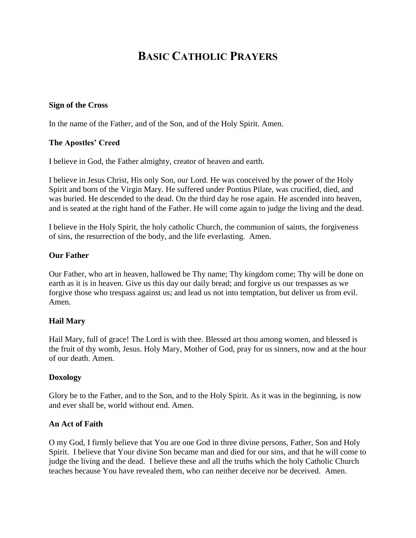# **BASIC CATHOLIC PRAYERS**

#### **Sign of the Cross**

In the name of the Father, and of the Son, and of the Holy Spirit. Amen.

#### **The Apostles' Creed**

I believe in God, the Father almighty, creator of heaven and earth.

I believe in Jesus Christ, His only Son, our Lord. He was conceived by the power of the Holy Spirit and born of the Virgin Mary. He suffered under Pontius Pilate, was crucified, died, and was buried. He descended to the dead. On the third day he rose again. He ascended into heaven, and is seated at the right hand of the Father. He will come again to judge the living and the dead.

I believe in the Holy Spirit, the holy catholic Church, the communion of saints, the forgiveness of sins, the resurrection of the body, and the life everlasting. Amen.

#### **Our Father**

Our Father, who art in heaven, hallowed be Thy name; Thy kingdom come; Thy will be done on earth as it is in heaven. Give us this day our daily bread; and forgive us our trespasses as we forgive those who trespass against us; and lead us not into temptation, but deliver us from evil. Amen.

#### **Hail Mary**

Hail Mary, full of grace! The Lord is with thee. Blessed art thou among women, and blessed is the fruit of thy womb, Jesus. Holy Mary, Mother of God, pray for us sinners, now and at the hour of our death. Amen.

#### **Doxology**

Glory be to the Father, and to the Son, and to the Holy Spirit. As it was in the beginning, is now and ever shall be, world without end. Amen.

#### **An Act of Faith**

O my God, I firmly believe that You are one God in three divine persons, Father, Son and Holy Spirit. I believe that Your divine Son became man and died for our sins, and that he will come to judge the living and the dead. I believe these and all the truths which the holy Catholic Church teaches because You have revealed them, who can neither deceive nor be deceived. Amen.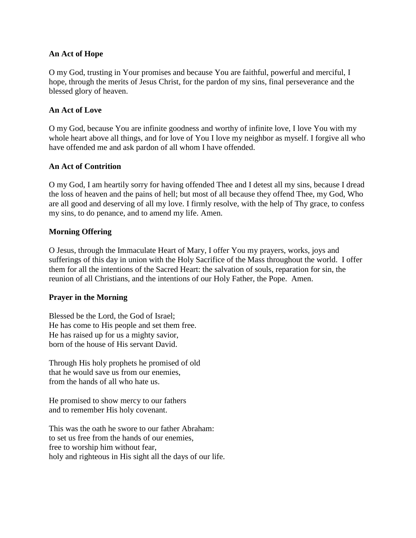#### **An Act of Hope**

O my God, trusting in Your promises and because You are faithful, powerful and merciful, I hope, through the merits of Jesus Christ, for the pardon of my sins, final perseverance and the blessed glory of heaven.

#### **An Act of Love**

O my God, because You are infinite goodness and worthy of infinite love, I love You with my whole heart above all things, and for love of You I love my neighbor as myself. I forgive all who have offended me and ask pardon of all whom I have offended.

#### **An Act of Contrition**

O my God, I am heartily sorry for having offended Thee and I detest all my sins, because I dread the loss of heaven and the pains of hell; but most of all because they offend Thee, my God, Who are all good and deserving of all my love. I firmly resolve, with the help of Thy grace, to confess my sins, to do penance, and to amend my life. Amen.

#### **Morning Offering**

O Jesus, through the Immaculate Heart of Mary, I offer You my prayers, works, joys and sufferings of this day in union with the Holy Sacrifice of the Mass throughout the world. I offer them for all the intentions of the Sacred Heart: the salvation of souls, reparation for sin, the reunion of all Christians, and the intentions of our Holy Father, the Pope. Amen.

#### **Prayer in the Morning**

Blessed be the Lord, the God of Israel; He has come to His people and set them free. He has raised up for us a mighty savior, born of the house of His servant David.

Through His holy prophets he promised of old that he would save us from our enemies, from the hands of all who hate us.

He promised to show mercy to our fathers and to remember His holy covenant.

This was the oath he swore to our father Abraham: to set us free from the hands of our enemies, free to worship him without fear, holy and righteous in His sight all the days of our life.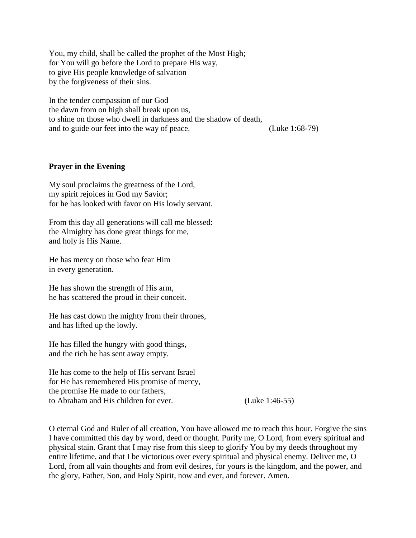You, my child, shall be called the prophet of the Most High; for You will go before the Lord to prepare His way, to give His people knowledge of salvation by the forgiveness of their sins.

In the tender compassion of our God the dawn from on high shall break upon us, to shine on those who dwell in darkness and the shadow of death, and to guide our feet into the way of peace. (Luke 1:68-79)

#### **Prayer in the Evening**

My soul proclaims the greatness of the Lord, my spirit rejoices in God my Savior; for he has looked with favor on His lowly servant.

From this day all generations will call me blessed: the Almighty has done great things for me, and holy is His Name.

He has mercy on those who fear Him in every generation.

He has shown the strength of His arm, he has scattered the proud in their conceit.

He has cast down the mighty from their thrones, and has lifted up the lowly.

He has filled the hungry with good things, and the rich he has sent away empty.

He has come to the help of His servant Israel for He has remembered His promise of mercy, the promise He made to our fathers, to Abraham and His children for ever. (Luke 1:46-55)

O eternal God and Ruler of all creation, You have allowed me to reach this hour. Forgive the sins I have committed this day by word, deed or thought. Purify me, O Lord, from every spiritual and physical stain. Grant that I may rise from this sleep to glorify You by my deeds throughout my entire lifetime, and that I be victorious over every spiritual and physical enemy. Deliver me, O Lord, from all vain thoughts and from evil desires, for yours is the kingdom, and the power, and the glory, Father, Son, and Holy Spirit, now and ever, and forever. Amen.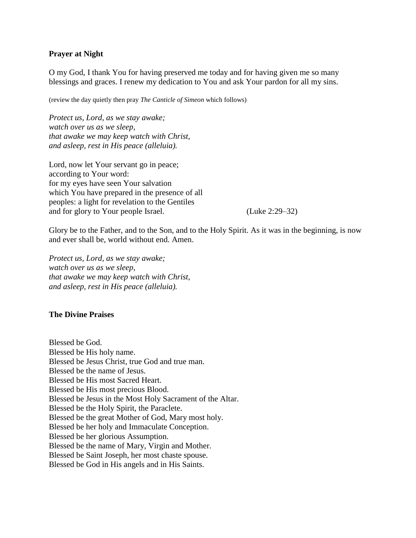#### **Prayer at Night**

O my God, I thank You for having preserved me today and for having given me so many blessings and graces. I renew my dedication to You and ask Your pardon for all my sins.

(review the day quietly then pray *The Canticle of Simeon* which follows)

*Protect us, Lord, as we stay awake; watch over us as we sleep, that awake we may keep watch with Christ, and asleep, rest in His peace (alleluia).*

Lord, now let Your servant go in peace; according to Your word: for my eyes have seen Your salvation which You have prepared in the presence of all peoples: a light for revelation to the Gentiles and for glory to Your people Israel. (Luke 2:29–32)

Glory be to the Father, and to the Son, and to the Holy Spirit. As it was in the beginning, is now and ever shall be, world without end. Amen.

*Protect us, Lord, as we stay awake; watch over us as we sleep, that awake we may keep watch with Christ, and asleep, rest in His peace (alleluia).*

#### **The Divine Praises**

Blessed be God. Blessed be His holy name. Blessed be Jesus Christ, true God and true man. Blessed be the name of Jesus. Blessed be His most Sacred Heart. Blessed be His most precious Blood. Blessed be Jesus in the Most Holy Sacrament of the Altar. Blessed be the Holy Spirit, the Paraclete. Blessed be the great Mother of God, Mary most holy. Blessed be her holy and Immaculate Conception. Blessed be her glorious Assumption. Blessed be the name of Mary, Virgin and Mother. Blessed be Saint Joseph, her most chaste spouse. Blessed be God in His angels and in His Saints.